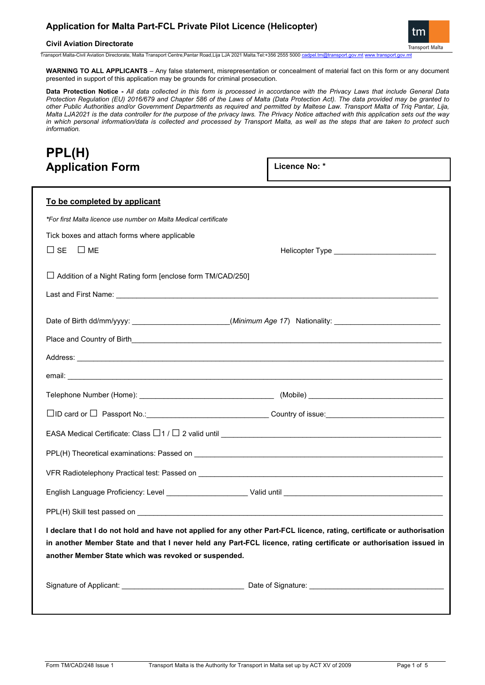## **Civil Aviation Directorate**

tm **Transport Malta** 

Transport Malta-Civil Aviation Directorate, Malta Transport Centre,Pantar Road,Lija LJA 2021 Malta.Tel:+356 2555 5000 [cadpel.tm@transport.gov.mt](mailto:cadpel.tm@transport.gov.mt) [www.transport.gov.mt](http://www.transport.gov.mt/)

**WARNING TO ALL APPLICANTS** – Any false statement, misrepresentation or concealment of material fact on this form or any document presented in support of this application may be grounds for criminal prosecution.

**Data Protection Notice -** *All data collected in this form is processed in accordance with the Privacy Laws that include General Data Protection Regulation (EU) 2016/679 and Chapter 586 of the Laws of Malta (Data Protection Act). The data provided may be granted to other Public Authorities and/or Government Departments as required and permitted by Maltese Law. Transport Malta of Triq Pantar, Lija, Malta LJA2021 is the data controller for the purpose of the privacy laws. The Privacy Notice attached with this application sets out the way in which personal information/data is collected and processed by Transport Malta, as well as the steps that are taken to protect such information.*

# **PPL(H) Application Form**

**Licence No: \***

| To be completed by applicant                                     |                                                                                                                        |
|------------------------------------------------------------------|------------------------------------------------------------------------------------------------------------------------|
| *For first Malta licence use number on Malta Medical certificate |                                                                                                                        |
| Tick boxes and attach forms where applicable                     |                                                                                                                        |
| $\sqcup$ se<br>$\Box$ ME                                         | Helicopter Type _____________________________                                                                          |
| $\Box$ Addition of a Night Rating form [enclose form TM/CAD/250] |                                                                                                                        |
|                                                                  |                                                                                                                        |
|                                                                  | Date of Birth dd/mm/yyyy: _______________________(Minimum Age 17) Nationality: ___________________________             |
|                                                                  |                                                                                                                        |
|                                                                  |                                                                                                                        |
|                                                                  |                                                                                                                        |
|                                                                  |                                                                                                                        |
|                                                                  |                                                                                                                        |
|                                                                  | EASA Medical Certificate: Class $\Box$ 1 / $\Box$ 2 valid until $\_\_\_\_\_\_\_\_\_$                                   |
|                                                                  |                                                                                                                        |
|                                                                  |                                                                                                                        |
|                                                                  |                                                                                                                        |
|                                                                  |                                                                                                                        |
|                                                                  | I declare that I do not hold and have not applied for any other Part-FCL licence, rating, certificate or authorisation |
|                                                                  | in another Member State and that I never held any Part-FCL licence, rating certificate or authorisation issued in      |
| another Member State which was revoked or suspended.             |                                                                                                                        |
|                                                                  |                                                                                                                        |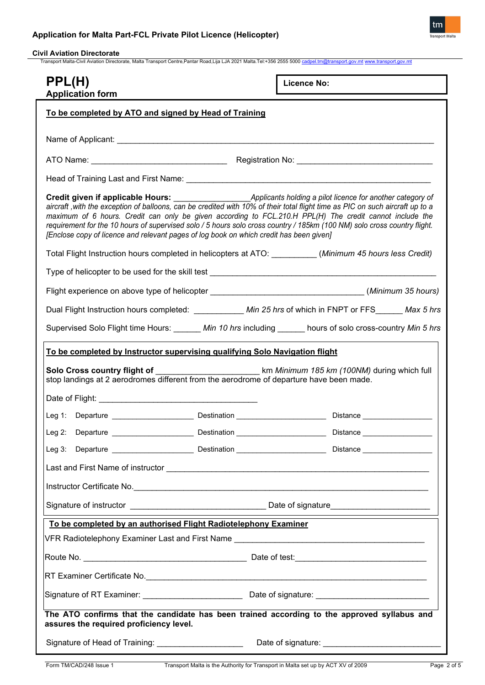

# **Civil Aviation Directorate**

Transport Malta-Civil Aviation Directorate, Malta Transport Centre,Pantar Road,Lija LJA 2021 Malta.Tel:+356 2555 5000 [cadpel.tm@transport.gov.mt](mailto:cadpel.tm@transport.gov.mt) www.tra

| PPL(H)<br><b>Application form</b>                                                                                                                                                                                                                                                                                                                                                                                                                                | <b>Licence No:</b>                          |
|------------------------------------------------------------------------------------------------------------------------------------------------------------------------------------------------------------------------------------------------------------------------------------------------------------------------------------------------------------------------------------------------------------------------------------------------------------------|---------------------------------------------|
| To be completed by ATO and signed by Head of Training                                                                                                                                                                                                                                                                                                                                                                                                            |                                             |
|                                                                                                                                                                                                                                                                                                                                                                                                                                                                  |                                             |
|                                                                                                                                                                                                                                                                                                                                                                                                                                                                  |                                             |
|                                                                                                                                                                                                                                                                                                                                                                                                                                                                  |                                             |
| aircraft, with the exception of balloons, can be credited with 10% of their total flight time as PIC on such aircraft up to a<br>maximum of 6 hours. Credit can only be given according to FCL.210.H PPL(H) The credit cannot include the<br>requirement for the 10 hours of supervised solo / 5 hours solo cross country / 185km (100 NM) solo cross country flight.<br>[Enclose copy of licence and relevant pages of log book on which credit has been given] |                                             |
| Total Flight Instruction hours completed in helicopters at ATO: _________(Minimum 45 hours less Credit)                                                                                                                                                                                                                                                                                                                                                          |                                             |
|                                                                                                                                                                                                                                                                                                                                                                                                                                                                  |                                             |
| Flight experience on above type of helicopter __________________________________(Minimum 35 hours)                                                                                                                                                                                                                                                                                                                                                               |                                             |
| Dual Flight Instruction hours completed: __________ Min 25 hrs of which in FNPT or FFS______ Max 5 hrs                                                                                                                                                                                                                                                                                                                                                           |                                             |
| Supervised Solo Flight time Hours: _______ Min 10 hrs including ______ hours of solo cross-country Min 5 hrs                                                                                                                                                                                                                                                                                                                                                     |                                             |
| To be completed by Instructor supervising qualifying Solo Navigation flight                                                                                                                                                                                                                                                                                                                                                                                      |                                             |
| Solo Cross country flight of<br>stop landings at 2 aerodromes different from the aerodrome of departure have been made.                                                                                                                                                                                                                                                                                                                                          | km Minimum 185 km (100NM) during which full |
|                                                                                                                                                                                                                                                                                                                                                                                                                                                                  |                                             |
|                                                                                                                                                                                                                                                                                                                                                                                                                                                                  |                                             |
| Destination<br>Leg 2: Departure                                                                                                                                                                                                                                                                                                                                                                                                                                  | Distance                                    |
|                                                                                                                                                                                                                                                                                                                                                                                                                                                                  |                                             |
|                                                                                                                                                                                                                                                                                                                                                                                                                                                                  |                                             |
|                                                                                                                                                                                                                                                                                                                                                                                                                                                                  |                                             |
|                                                                                                                                                                                                                                                                                                                                                                                                                                                                  |                                             |
| To be completed by an authorised Flight Radiotelephony Examiner                                                                                                                                                                                                                                                                                                                                                                                                  |                                             |
|                                                                                                                                                                                                                                                                                                                                                                                                                                                                  |                                             |
|                                                                                                                                                                                                                                                                                                                                                                                                                                                                  |                                             |
|                                                                                                                                                                                                                                                                                                                                                                                                                                                                  |                                             |
|                                                                                                                                                                                                                                                                                                                                                                                                                                                                  |                                             |
| The ATO confirms that the candidate has been trained according to the approved syllabus and<br>assures the required proficiency level.                                                                                                                                                                                                                                                                                                                           |                                             |
| Signature of Head of Training: _______________________                                                                                                                                                                                                                                                                                                                                                                                                           |                                             |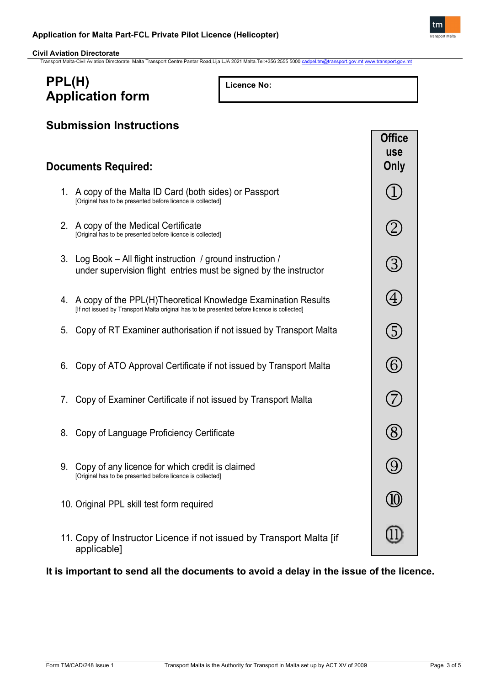

| PPL(H)<br><b>Licence No:</b><br><b>Application form</b>                                                                                                         |                                     |
|-----------------------------------------------------------------------------------------------------------------------------------------------------------------|-------------------------------------|
| <b>Submission Instructions</b><br><b>Documents Required:</b>                                                                                                    | <b>Office</b><br><b>use</b><br>Only |
| 1. A copy of the Malta ID Card (both sides) or Passport<br>[Original has to be presented before licence is collected]                                           |                                     |
| 2. A copy of the Medical Certificate<br>[Original has to be presented before licence is collected]                                                              |                                     |
| Log Book – All flight instruction / ground instruction /<br>3.<br>under supervision flight entries must be signed by the instructor                             | (3)                                 |
| 4. A copy of the PPL(H)Theoretical Knowledge Examination Results<br>[If not issued by Transport Malta original has to be presented before licence is collected] | $\overline{A}$                      |
| Copy of RT Examiner authorisation if not issued by Transport Malta<br>5.                                                                                        | (5)                                 |
| Copy of ATO Approval Certificate if not issued by Transport Malta<br>6.                                                                                         | (6)                                 |
| Copy of Examiner Certificate if not issued by Transport Malta<br>7.                                                                                             |                                     |
|                                                                                                                                                                 |                                     |

- 8. Copy of Language Proficiency Certificate
- 9. Copy of any licence for which credit is claimed [Original has to be presented before licence is collected]
- 10. Original PPL skill test form required
- 11. Copy of Instructor Licence if not issued by Transport Malta [if applicable]

# **It is important to send all the documents to avoid a delay in the issue of the licence.**

 $(8)$ 

 $\bigcirc$ 

[1]

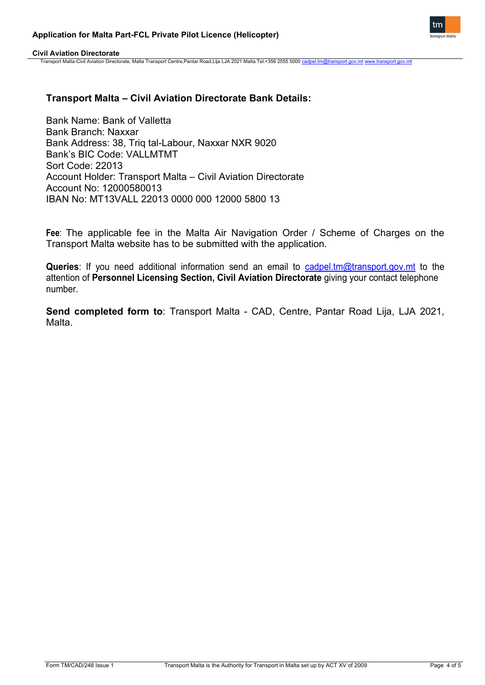

**Civil Aviation Directorate**

Transport Malta-Civil Aviation Directorate, Malta Transport Centre,Pantar Road,Lija LJA 2021 Malta.Tel:+356 2555 5000 c

# **Transport Malta – Civil Aviation Directorate Bank Details:**

Bank Name: Bank of Valletta Bank Branch: Naxxar Bank Address: 38, Triq tal-Labour, Naxxar NXR 9020 Bank's BIC Code: VALLMTMT Sort Code: 22013 Account Holder: Transport Malta – Civil Aviation Directorate Account No: 12000580013 IBAN No: MT13VALL 22013 0000 000 12000 5800 13

**Fee**: The applicable fee in the Malta Air Navigation Order / Scheme of Charges on the Transport Malta website has to be submitted with the application.

**Queries**: If you need additional information send an email to [cadpel.tm@transport.gov.mt](mailto:cadpel.tm@transport.gov.mt) to the attention of **Personnel Licensing Section, Civil Aviation Directorate** giving your contact telephone number.

**Send completed form to**: Transport Malta - CAD, Centre, Pantar Road Lija, LJA 2021, Malta.